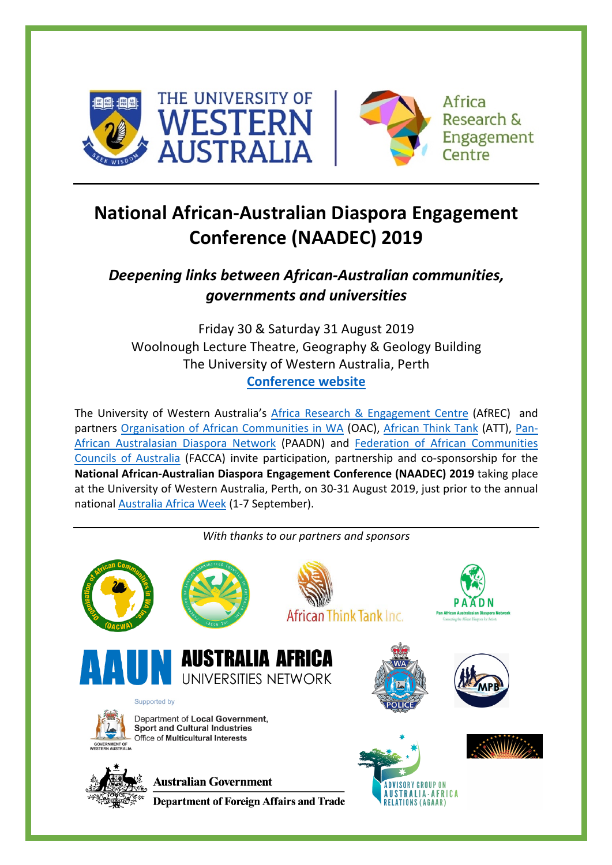



# **National African-Australian Diaspora Engagement Conference (NAADEC) 2019**

# *Deepening links between African-Australian communities, governments and universities*

Friday 30 & Saturday 31 August 2019 Woolnough Lecture Theatre, Geography & Geology Building The University of Western Australia, Perth **[Conference website](https://www.afrec.uwa.edu.au/naadec-2019)**

The University of Western Australia's [Africa Research & Engagement Centre](https://www.afrec.uwa.edu.au/) (AfREC) and partners [Organisation of African Communities in WA](https://oacwa.com.au/) (OAC), [African Think Tank](https://att.org.au/) (ATT), [Pan-](http://www.paadn.org/)[African Australasian Diaspora Network](http://www.paadn.org/) (PAADN) and [Federation of African Communities](https://www.facebook.com/FACCA.Incorporated/)  [Councils of Australia](https://www.facebook.com/FACCA.Incorporated/) (FACCA) invite participation, partnership and co-sponsorship for the **National African-Australian Diaspora Engagement Conference (NAADEC) 2019** taking place at the University of Western Australia, Perth, on 30-31 August 2019, just prior to the annual national [Australia](https://www.australiaafricaweek.com/) Africa Week (1-7 September).

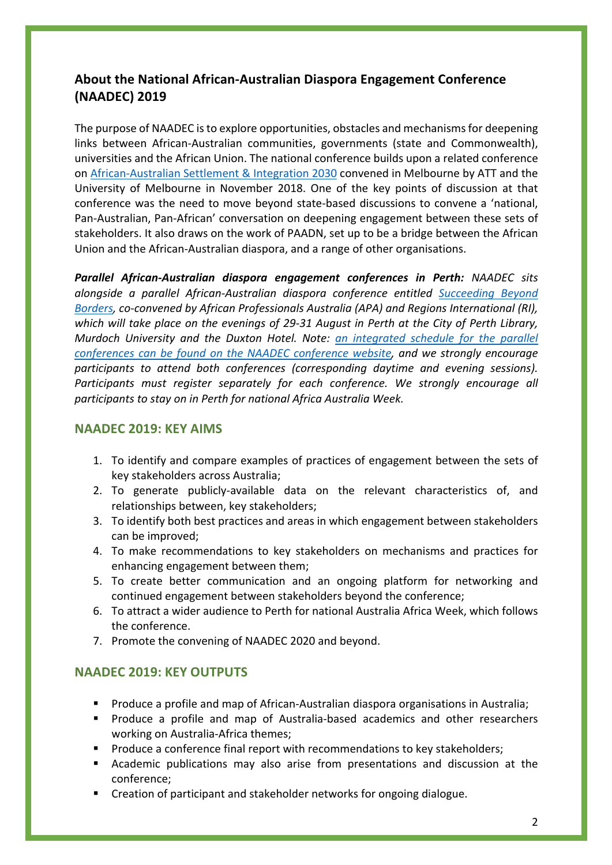## **About the National African-Australian Diaspora Engagement Conference (NAADEC) 2019**

The purpose of NAADEC is to explore opportunities, obstacles and mechanisms for deepening links between African-Australian communities, governments (state and Commonwealth), universities and the African Union. The national conference builds upon a related conference on [African-Australian Settlement & Integration 2030](https://att.org.au/att2018/) convened in Melbourne by ATT and the University of Melbourne in November 2018. One of the key points of discussion at that conference was the need to move beyond state-based discussions to convene a 'national, Pan-Australian, Pan-African' conversation on deepening engagement between these sets of stakeholders. It also draws on the work of PAADN, set up to be a bridge between the African Union and the African-Australian diaspora, and a range of other organisations.

*Parallel African-Australian diaspora engagement conferences in Perth: NAADEC sits alongside a parallel African-Australian diaspora conference entitled [Succeeding Beyond](https://www.eventbrite.com.au/e/succeeding-beyond-borders-international-conference-tickets-59514546611)  [Borders,](https://www.eventbrite.com.au/e/succeeding-beyond-borders-international-conference-tickets-59514546611) co-convened by African Professionals Australia (APA) and Regions International (RI), which will take place on the evenings of 29-31 August in Perth at the City of Perth Library, Murdoch University and the Duxton Hotel. Note: [an integrated schedule for the parallel](https://docs.wixstatic.com/ugd/15457a_cde57211671746539e81b79839ed515f.pdf) [conferences can be found on the NAADEC conference website,](https://docs.wixstatic.com/ugd/15457a_cde57211671746539e81b79839ed515f.pdf) and we strongly encourage participants to attend both conferences (corresponding daytime and evening sessions).*  Participants must register separately for each conference. We strongly encourage all *participants to stay on in Perth for national Africa Australia Week.*

#### **NAADEC 2019: KEY AIMS**

- 1. To identify and compare examples of practices of engagement between the sets of key stakeholders across Australia;
- 2. To generate publicly-available data on the relevant characteristics of, and relationships between, key stakeholders;
- 3. To identify both best practices and areas in which engagement between stakeholders can be improved;
- 4. To make recommendations to key stakeholders on mechanisms and practices for enhancing engagement between them;
- 5. To create better communication and an ongoing platform for networking and continued engagement between stakeholders beyond the conference;
- 6. To attract a wider audience to Perth for national Australia Africa Week, which follows the conference.
- 7. Promote the convening of NAADEC 2020 and beyond.

### **NAADEC 2019: KEY OUTPUTS**

- § Produce a profile and map of African-Australian diaspora organisations in Australia;
- § Produce a profile and map of Australia-based academics and other researchers working on Australia-Africa themes;
- § Produce a conference final report with recommendations to key stakeholders;
- § Academic publications may also arise from presentations and discussion at the conference;
- § Creation of participant and stakeholder networks for ongoing dialogue.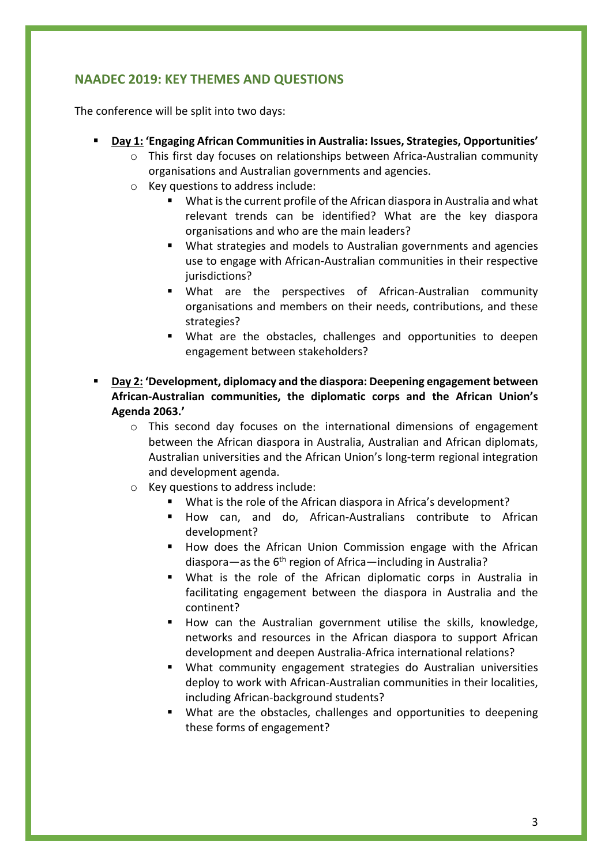## **NAADEC 2019: KEY THEMES AND QUESTIONS**

The conference will be split into two days:

- § **Day 1: 'Engaging African Communities in Australia: Issues, Strategies, Opportunities'**
	- o This first day focuses on relationships between Africa-Australian community organisations and Australian governments and agencies.
	- o Key questions to address include:
		- What is the current profile of the African diaspora in Australia and what relevant trends can be identified? What are the key diaspora organisations and who are the main leaders?
		- § What strategies and models to Australian governments and agencies use to engage with African-Australian communities in their respective iurisdictions?
		- § What are the perspectives of African-Australian community organisations and members on their needs, contributions, and these strategies?
		- What are the obstacles, challenges and opportunities to deepen engagement between stakeholders?
- § **Day 2: 'Development, diplomacy and the diaspora: Deepening engagement between African-Australian communities, the diplomatic corps and the African Union's Agenda 2063.'** 
	- $\circ$  This second day focuses on the international dimensions of engagement between the African diaspora in Australia, Australian and African diplomats, Australian universities and the African Union's long-term regional integration and development agenda.
	- o Key questions to address include:
		- What is the role of the African diaspora in Africa's development?
		- § How can, and do, African-Australians contribute to African development?
		- How does the African Union Commission engage with the African diaspora—as the  $6<sup>th</sup>$  region of Africa—including in Australia?
		- § What is the role of the African diplomatic corps in Australia in facilitating engagement between the diaspora in Australia and the continent?
		- § How can the Australian government utilise the skills, knowledge, networks and resources in the African diaspora to support African development and deepen Australia-Africa international relations?
		- What community engagement strategies do Australian universities deploy to work with African-Australian communities in their localities, including African-background students?
		- What are the obstacles, challenges and opportunities to deepening these forms of engagement?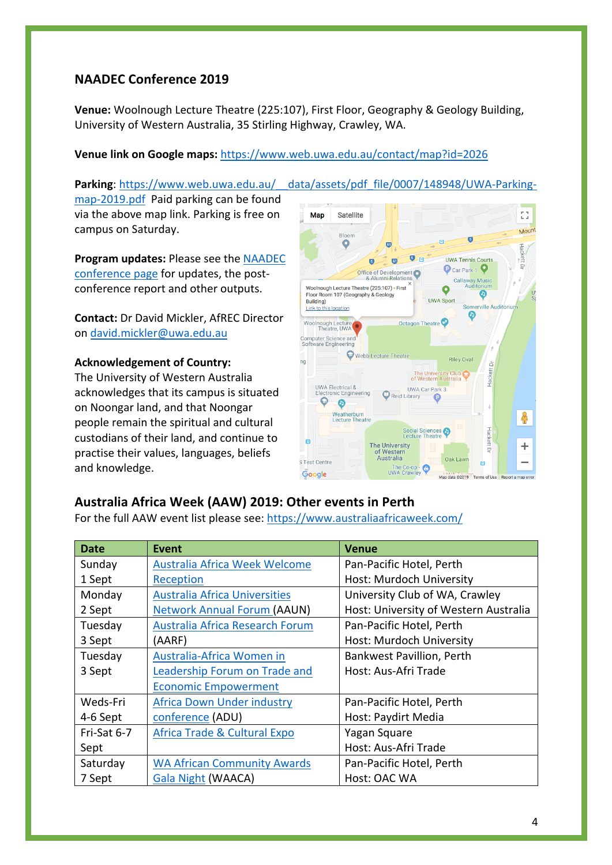## **NAADEC Conference 2019**

**Venue:** Woolnough Lecture Theatre (225:107), First Floor, Geography & Geology Building, University of Western Australia, 35 Stirling Highway, Crawley, WA.

#### **Venue link on Google maps:** https://www.web.uwa.edu.au/contact/map?id=2026

map-2019.pdf Paid parking can be found via the above map link. Parking is free on campus on Saturday.

**Program updates:** Please see the [NAADEC](https://www.afrec.uwa.edu.au/naadec-2019)  [conference page](https://www.afrec.uwa.edu.au/naadec-2019) for updates, the postconference report and other outputs.

**Contact:** Dr David Mickler, AfREC Director on david.mickler@uwa.edu.au

#### **Acknowledgement of Country:**

The University of Western Australia acknowledges that its campus is situated on Noongar land, and that Noongar people remain the spiritual and cultural custodians of their land, and continue to practise their values, languages, beliefs and knowledge.



#### **Australia Africa Week (AAW) 2019: Other events in Perth**

For the full AAW event list please see: https://www.australiaafricaweek.com/

| <b>Date</b> | Event                                   | <b>Venue</b>                          |
|-------------|-----------------------------------------|---------------------------------------|
| Sunday      | Australia Africa Week Welcome           | Pan-Pacific Hotel, Perth              |
| 1 Sept      | Reception                               | Host: Murdoch University              |
| Monday      | <b>Australia Africa Universities</b>    | University Club of WA, Crawley        |
| 2 Sept      | <b>Network Annual Forum (AAUN)</b>      | Host: University of Western Australia |
| Tuesday     | Australia Africa Research Forum         | Pan-Pacific Hotel, Perth              |
| 3 Sept      | (AARF)                                  | Host: Murdoch University              |
| Tuesday     | Australia-Africa Women in               | Bankwest Pavillion, Perth             |
| 3 Sept      | Leadership Forum on Trade and           | Host: Aus-Afri Trade                  |
|             | <b>Economic Empowerment</b>             |                                       |
| Weds-Fri    | <b>Africa Down Under industry</b>       | Pan-Pacific Hotel, Perth              |
| 4-6 Sept    | conference (ADU)                        | Host: Paydirt Media                   |
| Fri-Sat 6-7 | <b>Africa Trade &amp; Cultural Expo</b> | Yagan Square                          |
| Sept        |                                         | Host: Aus-Afri Trade                  |
| Saturday    | <b>WA African Community Awards</b>      | Pan-Pacific Hotel, Perth              |
| 7 Sept      | <b>Gala Night (WAACA)</b>               | Host: OAC WA                          |

**Parking**: https://www.web.uwa.edu.au/\_\_data/assets/pdf\_file/0007/148948/UWA-Parking-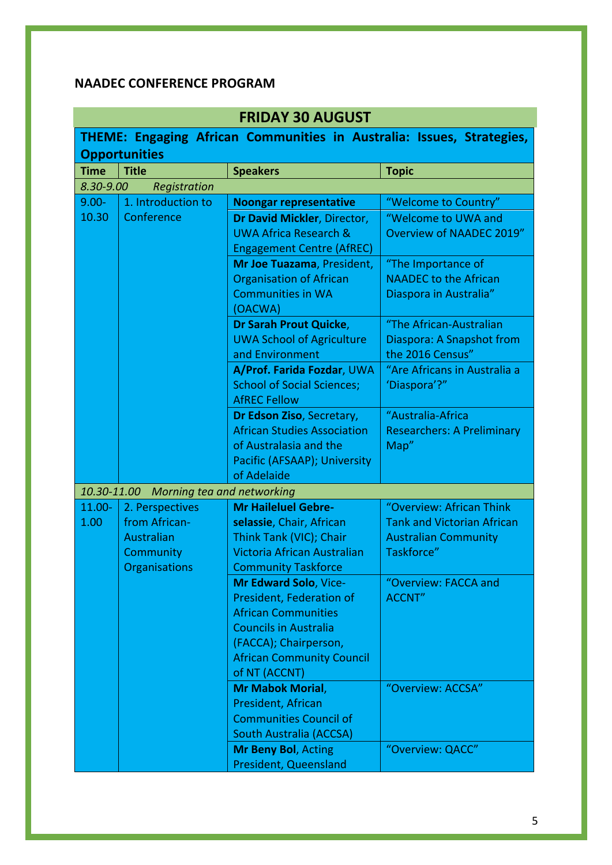# **NAADEC CONFERENCE PROGRAM**

| <b>FRIDAY 30 AUGUST</b>                                               |                            |                                    |                                   |
|-----------------------------------------------------------------------|----------------------------|------------------------------------|-----------------------------------|
| THEME: Engaging African Communities in Australia: Issues, Strategies, |                            |                                    |                                   |
|                                                                       | <b>Opportunities</b>       |                                    |                                   |
| <b>Time</b>                                                           | <b>Title</b>               | <b>Speakers</b>                    | <b>Topic</b>                      |
| 8.30-9.00                                                             | Registration               |                                    |                                   |
| $9.00 -$                                                              | 1. Introduction to         | <b>Noongar representative</b>      | "Welcome to Country"              |
| 10.30                                                                 | Conference                 | Dr David Mickler, Director,        | "Welcome to UWA and               |
|                                                                       |                            | <b>UWA Africa Research &amp;</b>   | <b>Overview of NAADEC 2019"</b>   |
|                                                                       |                            | <b>Engagement Centre (AfREC)</b>   |                                   |
|                                                                       |                            | Mr Joe Tuazama, President,         | "The Importance of                |
|                                                                       |                            | <b>Organisation of African</b>     | <b>NAADEC to the African</b>      |
|                                                                       |                            | <b>Communities in WA</b>           | Diaspora in Australia"            |
|                                                                       |                            | (OACWA)                            |                                   |
|                                                                       |                            | Dr Sarah Prout Quicke,             | "The African-Australian           |
|                                                                       |                            | <b>UWA School of Agriculture</b>   | Diaspora: A Snapshot from         |
|                                                                       |                            | and Environment                    | the 2016 Census"                  |
|                                                                       |                            | A/Prof. Farida Fozdar, UWA         | "Are Africans in Australia a      |
|                                                                       |                            | <b>School of Social Sciences;</b>  | 'Diaspora'?"                      |
|                                                                       |                            | <b>AfREC Fellow</b>                |                                   |
|                                                                       |                            | Dr Edson Ziso, Secretary,          | "Australia-Africa                 |
|                                                                       |                            | <b>African Studies Association</b> | <b>Researchers: A Preliminary</b> |
|                                                                       |                            | of Australasia and the             | Map"                              |
|                                                                       |                            | Pacific (AFSAAP); University       |                                   |
|                                                                       |                            | of Adelaide                        |                                   |
| 10.30-11.00                                                           | Morning tea and networking |                                    |                                   |
| 11.00-                                                                | 2. Perspectives            | <b>Mr Haileluel Gebre-</b>         | "Overview: African Think          |
| 1.00                                                                  | from African-              | selassie, Chair, African           | <b>Tank and Victorian African</b> |
|                                                                       | Australian                 | Think Tank (VIC); Chair            | <b>Australian Community</b>       |
|                                                                       | Community                  | Victoria African Australian        | Taskforce"                        |
|                                                                       | Organisations              | <b>Community Taskforce</b>         |                                   |
|                                                                       |                            | <b>Mr Edward Solo, Vice-</b>       | "Overview: FACCA and              |
|                                                                       |                            | President, Federation of           | <b>ACCNT"</b>                     |
|                                                                       |                            | <b>African Communities</b>         |                                   |
|                                                                       |                            | <b>Councils in Australia</b>       |                                   |
|                                                                       |                            | (FACCA); Chairperson,              |                                   |
|                                                                       |                            | <b>African Community Council</b>   |                                   |
|                                                                       |                            | of NT (ACCNT)                      |                                   |
|                                                                       |                            | <b>Mr Mabok Morial,</b>            | "Overview: ACCSA"                 |
|                                                                       |                            | President, African                 |                                   |
|                                                                       |                            | <b>Communities Council of</b>      |                                   |
|                                                                       |                            | <b>South Australia (ACCSA)</b>     |                                   |
|                                                                       |                            | Mr Beny Bol, Acting                | "Overview: QACC"                  |
|                                                                       |                            | <b>President, Queensland</b>       |                                   |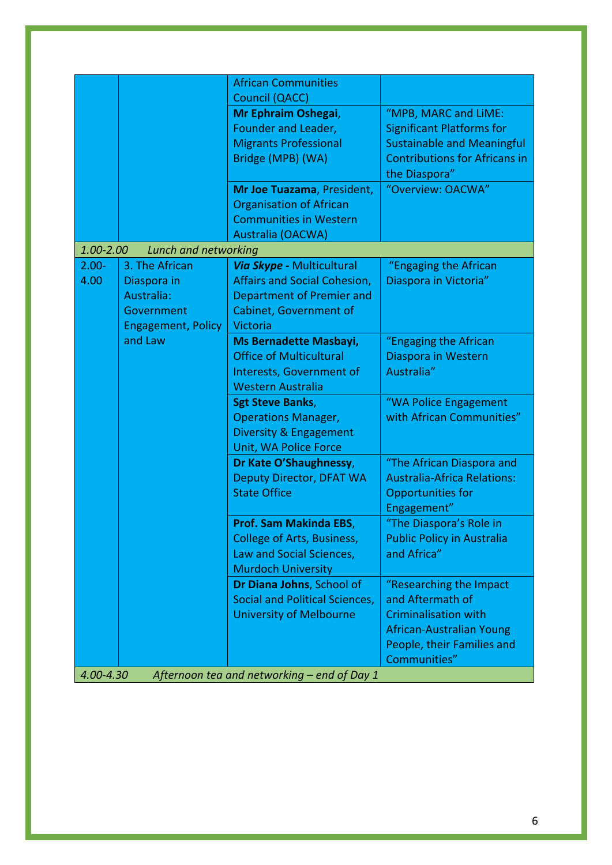|                                                          |                             | <b>African Communities</b>            |                                      |
|----------------------------------------------------------|-----------------------------|---------------------------------------|--------------------------------------|
|                                                          |                             | Council (QACC)                        |                                      |
|                                                          |                             | Mr Ephraim Oshegai,                   | "MPB, MARC and LiME:                 |
|                                                          |                             | Founder and Leader,                   | <b>Significant Platforms for</b>     |
|                                                          |                             | <b>Migrants Professional</b>          | <b>Sustainable and Meaningful</b>    |
|                                                          |                             | Bridge (MPB) (WA)                     | <b>Contributions for Africans in</b> |
|                                                          |                             |                                       | the Diaspora"                        |
|                                                          |                             | Mr Joe Tuazama, President,            | "Overview: OACWA"                    |
|                                                          |                             | <b>Organisation of African</b>        |                                      |
|                                                          |                             | <b>Communities in Western</b>         |                                      |
|                                                          |                             | Australia (OACWA)                     |                                      |
| 1.00-2.00                                                | <b>Lunch and networking</b> |                                       |                                      |
| $2.00 -$                                                 | 3. The African              | Via Skype - Multicultural             | "Engaging the African                |
| 4.00                                                     | Diaspora in                 | <b>Affairs and Social Cohesion,</b>   | Diaspora in Victoria"                |
|                                                          | Australia:                  | Department of Premier and             |                                      |
|                                                          | Government                  | <b>Cabinet, Government of</b>         |                                      |
|                                                          | <b>Engagement, Policy</b>   | Victoria                              |                                      |
|                                                          | and Law                     | <b>Ms Bernadette Masbayi,</b>         | "Engaging the African                |
|                                                          |                             | <b>Office of Multicultural</b>        | Diaspora in Western                  |
|                                                          |                             | Interests, Government of              | Australia"                           |
|                                                          |                             | <b>Western Australia</b>              |                                      |
|                                                          |                             | <b>Sgt Steve Banks,</b>               | "WA Police Engagement                |
|                                                          |                             | <b>Operations Manager,</b>            | with African Communities"            |
|                                                          |                             | Diversity & Engagement                |                                      |
|                                                          |                             | Unit, WA Police Force                 |                                      |
|                                                          |                             | Dr Kate O'Shaughnessy,                | "The African Diaspora and            |
|                                                          |                             | <b>Deputy Director, DFAT WA</b>       | <b>Australia-Africa Relations:</b>   |
|                                                          |                             | <b>State Office</b>                   | Opportunities for                    |
|                                                          |                             |                                       | Engagement"                          |
|                                                          |                             | Prof. Sam Makinda EBS,                | "The Diaspora's Role in              |
|                                                          |                             | College of Arts, Business,            | <b>Public Policy in Australia</b>    |
|                                                          |                             | Law and Social Sciences,              | and Africa"                          |
|                                                          |                             | <b>Murdoch University</b>             |                                      |
|                                                          |                             | Dr Diana Johns, School of             | "Researching the Impact              |
|                                                          |                             | <b>Social and Political Sciences,</b> | and Aftermath of                     |
|                                                          |                             | <b>University of Melbourne</b>        | <b>Criminalisation with</b>          |
|                                                          |                             |                                       | African-Australian Young             |
|                                                          |                             |                                       | People, their Families and           |
|                                                          |                             |                                       | Communities"                         |
| 4.00-4.30<br>Afternoon tea and networking - end of Day 1 |                             |                                       |                                      |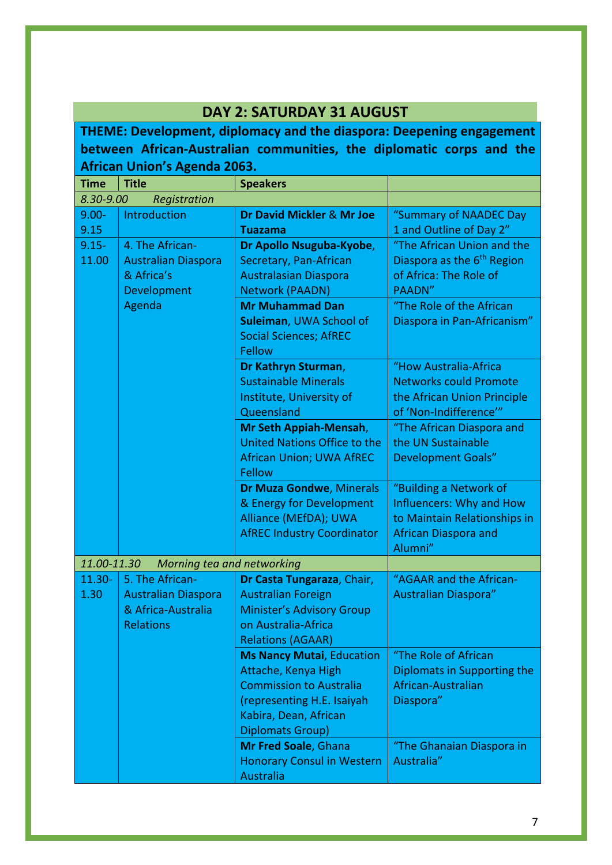| DAY 2: SATURDAY 31 AUGUST                                            |                                               |                                                         |                                        |  |
|----------------------------------------------------------------------|-----------------------------------------------|---------------------------------------------------------|----------------------------------------|--|
| THEME: Development, diplomacy and the diaspora: Deepening engagement |                                               |                                                         |                                        |  |
| between African-Australian communities, the diplomatic corps and the |                                               |                                                         |                                        |  |
|                                                                      | African Union's Agenda 2063.                  |                                                         |                                        |  |
| <b>Time</b>                                                          | <b>Title</b>                                  | <b>Speakers</b>                                         |                                        |  |
| 8.30-9.00                                                            | Registration                                  |                                                         |                                        |  |
| $9.00 -$                                                             | Introduction                                  | Dr David Mickler & Mr Joe                               | "Summary of NAADEC Day                 |  |
| 9.15                                                                 |                                               | <b>Tuazama</b>                                          | 1 and Outline of Day 2"                |  |
| $9.15 -$                                                             | 4. The African-                               | Dr Apollo Nsuguba-Kyobe,                                | "The African Union and the             |  |
| 11.00                                                                | <b>Australian Diaspora</b>                    | Secretary, Pan-African                                  | Diaspora as the 6 <sup>th</sup> Region |  |
|                                                                      | & Africa's                                    | <b>Australasian Diaspora</b>                            | of Africa: The Role of                 |  |
|                                                                      | Development                                   | <b>Network (PAADN)</b>                                  | PAADN"                                 |  |
|                                                                      | Agenda                                        | <b>Mr Muhammad Dan</b>                                  | "The Role of the African               |  |
|                                                                      |                                               | Suleiman, UWA School of                                 | Diaspora in Pan-Africanism"            |  |
|                                                                      |                                               | <b>Social Sciences; AfREC</b>                           |                                        |  |
|                                                                      |                                               | <b>Fellow</b>                                           |                                        |  |
|                                                                      |                                               | Dr Kathryn Sturman,                                     | "How Australia-Africa                  |  |
|                                                                      |                                               | <b>Sustainable Minerals</b>                             | <b>Networks could Promote</b>          |  |
|                                                                      |                                               | Institute, University of                                | the African Union Principle            |  |
|                                                                      |                                               | Queensland                                              | of 'Non-Indifference'"                 |  |
|                                                                      |                                               | Mr Seth Appiah-Mensah,                                  | "The African Diaspora and              |  |
|                                                                      |                                               | United Nations Office to the                            | the UN Sustainable                     |  |
|                                                                      |                                               | <b>African Union; UWA AfREC</b>                         | <b>Development Goals"</b>              |  |
|                                                                      |                                               | <b>Fellow</b>                                           |                                        |  |
|                                                                      |                                               | <b>Dr Muza Gondwe, Minerals</b>                         | "Building a Network of                 |  |
|                                                                      |                                               | & Energy for Development                                | Influencers: Why and How               |  |
|                                                                      |                                               | Alliance (MEfDA); UWA                                   | to Maintain Relationships in           |  |
|                                                                      |                                               | <b>AfREC Industry Coordinator</b>                       | <b>African Diaspora and</b>            |  |
|                                                                      |                                               |                                                         | Alumni"                                |  |
| 11.00-11.30<br>$11.30 -$                                             | Morning tea and networking<br>5. The African- |                                                         | "AGAAR and the African-                |  |
| 1.30                                                                 | <b>Australian Diaspora</b>                    | Dr Casta Tungaraza, Chair,<br><b>Australian Foreign</b> | <b>Australian Diaspora"</b>            |  |
|                                                                      | & Africa-Australia                            | <b>Minister's Advisory Group</b>                        |                                        |  |
|                                                                      | <b>Relations</b>                              | on Australia-Africa                                     |                                        |  |
|                                                                      |                                               | <b>Relations (AGAAR)</b>                                |                                        |  |
|                                                                      |                                               | <b>Ms Nancy Mutai, Education</b>                        | "The Role of African                   |  |
|                                                                      |                                               | Attache, Kenya High                                     | Diplomats in Supporting the            |  |
|                                                                      |                                               | <b>Commission to Australia</b>                          | African-Australian                     |  |
|                                                                      |                                               | (representing H.E. Isaiyah                              | Diaspora"                              |  |
|                                                                      |                                               | Kabira, Dean, African                                   |                                        |  |
|                                                                      |                                               | Diplomats Group)                                        |                                        |  |
|                                                                      |                                               | Mr Fred Soale, Ghana                                    | "The Ghanaian Diaspora in              |  |
|                                                                      |                                               | <b>Honorary Consul in Western</b>                       | Australia"                             |  |
|                                                                      |                                               | <b>Australia</b>                                        |                                        |  |

## **DAY 2: SATURDAY 31 AUGUST**

7